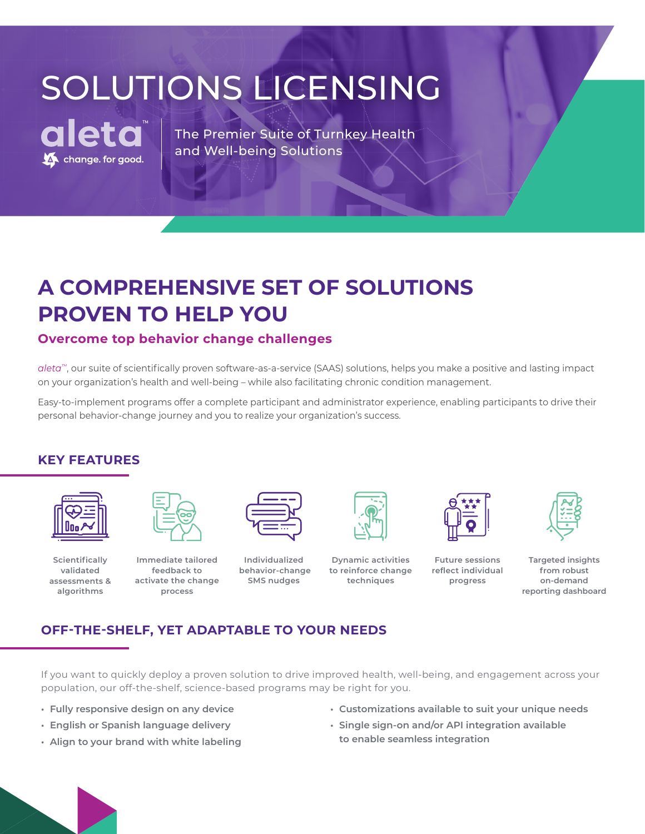# SOLUTIONS LICENSING



The Premier Suite of Turnkey Health and Well-being Solutions

### **A COMPREHENSIVE SET OF SOLUTIONS PROVEN TO HELP YOU**

#### **Overcome top behavior change challenges**

*aleta™*, our suite of scientifically proven software-as-a-service (SAAS) solutions, helps you make a positive and lasting impact on your organization's health and well-being – while also facilitating chronic condition management.

Easy-to-implement programs offer a complete participant and administrator experience, enabling participants to drive their personal behavior-change journey and you to realize your organization's success.

#### **KEY FEATURES**



**Scientifically validated assessments & algorithms**



**Immediate tailored feedback to activate the change process**



**Individualized behavior-change SMS nudges** 



**Dynamic activities to reinforce change techniques**



**Future sessions reflect individual progress**



**Targeted insights from robust on-demand reporting dashboard** 

#### **OFF-THE-SHELF, YET ADAPTABLE TO YOUR NEEDS**

If you want to quickly deploy a proven solution to drive improved health, well-being, and engagement across your population, our off-the-shelf, science-based programs may be right for you.

- **• Fully responsive design on any device**
- **• English or Spanish language delivery**
- **• Align to your brand with white labeling**
- **• Customizations available to suit your unique needs**
- **• Single sign-on and/or API integration available to enable seamless integration**